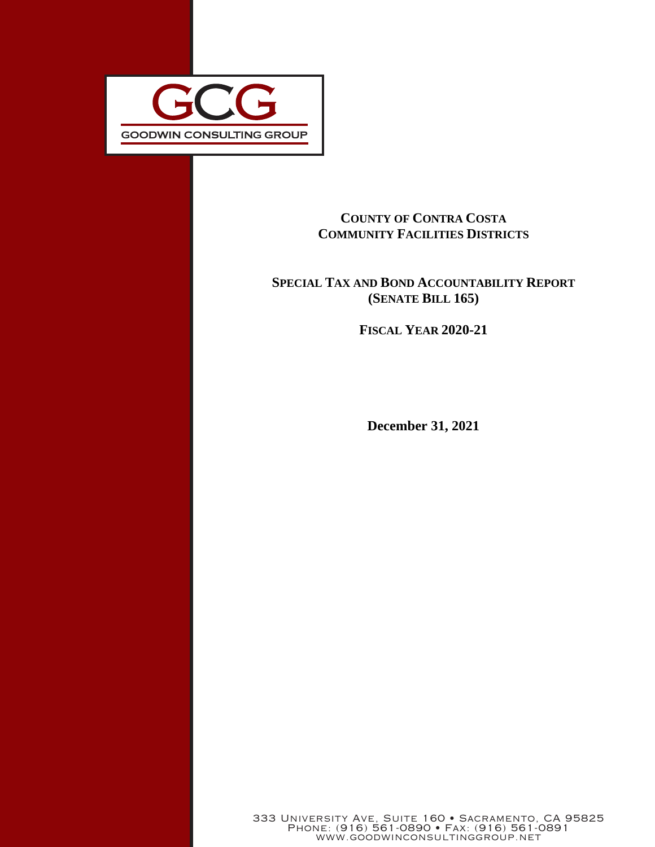

## **COUNTY OF CONTRA COSTA COMMUNITY FACILITIES DISTRICTS**

## **SPECIAL TAX AND BOND ACCOUNTABILITY REPORT (SENATE BILL 165)**

**FISCAL YEAR 2020-21**

**December 31, 2021**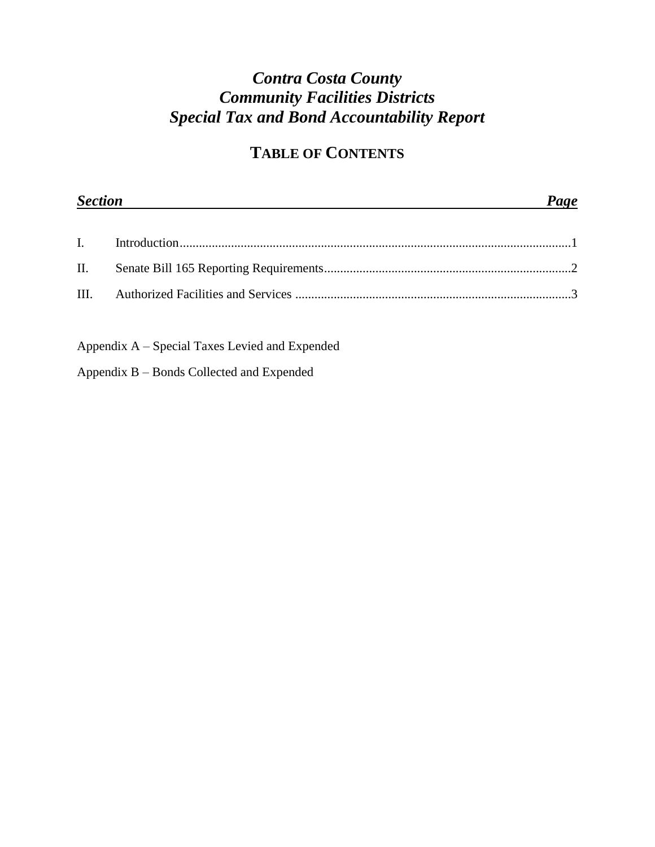# *Contra Costa County Community Facilities Districts Special Tax and Bond Accountability Report*

# **TABLE OF CONTENTS**

| <b>Section</b> | Page |  |
|----------------|------|--|
|                |      |  |
|                |      |  |
|                |      |  |

Appendix A – Special Taxes Levied and Expended

Appendix B – Bonds Collected and Expended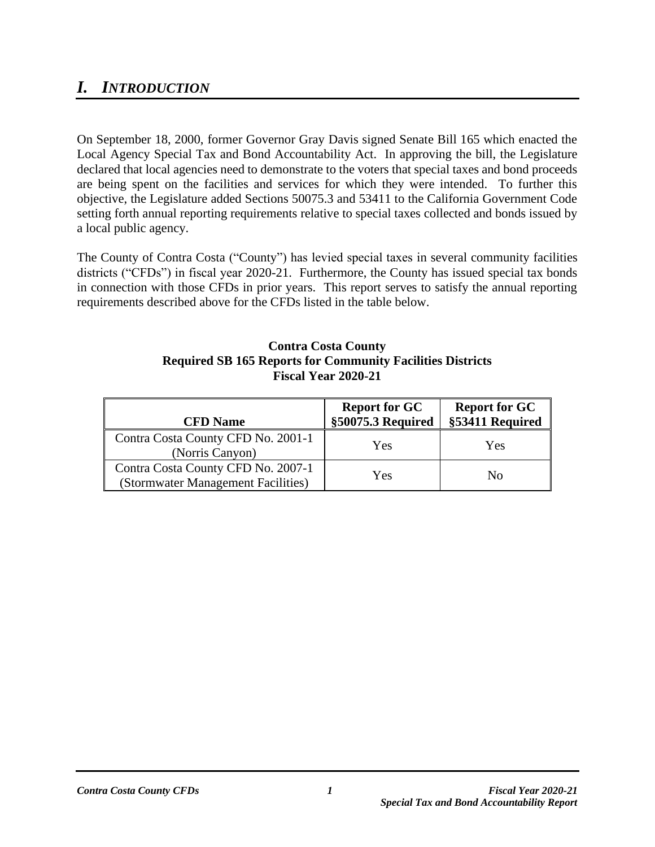## *I. INTRODUCTION*

On September 18, 2000, former Governor Gray Davis signed Senate Bill 165 which enacted the Local Agency Special Tax and Bond Accountability Act. In approving the bill, the Legislature declared that local agencies need to demonstrate to the voters that special taxes and bond proceeds are being spent on the facilities and services for which they were intended. To further this objective, the Legislature added Sections 50075.3 and 53411 to the California Government Code setting forth annual reporting requirements relative to special taxes collected and bonds issued by a local public agency.

The County of Contra Costa ("County") has levied special taxes in several community facilities districts ("CFDs") in fiscal year 2020-21. Furthermore, the County has issued special tax bonds in connection with those CFDs in prior years. This report serves to satisfy the annual reporting requirements described above for the CFDs listed in the table below.

#### **Contra Costa County Required SB 165 Reports for Community Facilities Districts Fiscal Year 2020-21**

| <b>CFD</b> Name                                                          | <b>Report for GC</b><br>§50075.3 Required | <b>Report for GC</b><br>§53411 Required |
|--------------------------------------------------------------------------|-------------------------------------------|-----------------------------------------|
| Contra Costa County CFD No. 2001-1<br>(Norris Canyon)                    | Yes                                       | Yes                                     |
| Contra Costa County CFD No. 2007-1<br>(Stormwater Management Facilities) | Yes                                       | Nο                                      |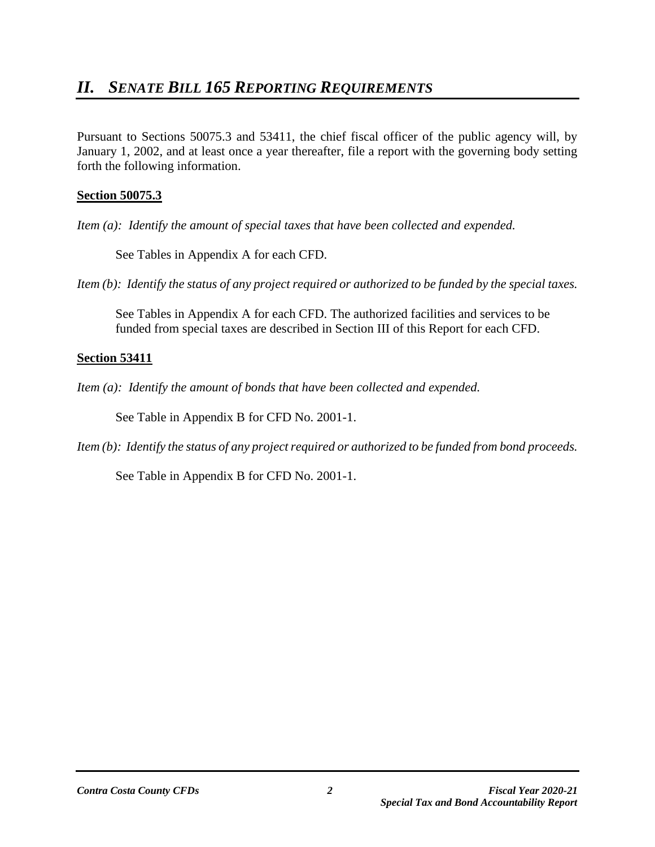Pursuant to Sections 50075.3 and 53411, the chief fiscal officer of the public agency will, by January 1, 2002, and at least once a year thereafter, file a report with the governing body setting forth the following information.

## **Section 50075.3**

*Item (a): Identify the amount of special taxes that have been collected and expended.* 

See Tables in Appendix A for each CFD.

*Item (b): Identify the status of any project required or authorized to be funded by the special taxes.*

See Tables in Appendix A for each CFD. The authorized facilities and services to be funded from special taxes are described in Section III of this Report for each CFD.

## **Section 53411**

*Item (a): Identify the amount of bonds that have been collected and expended.*

See Table in Appendix B for CFD No. 2001-1.

*Item (b): Identify the status of any project required or authorized to be funded from bond proceeds.*

See Table in Appendix B for CFD No. 2001-1.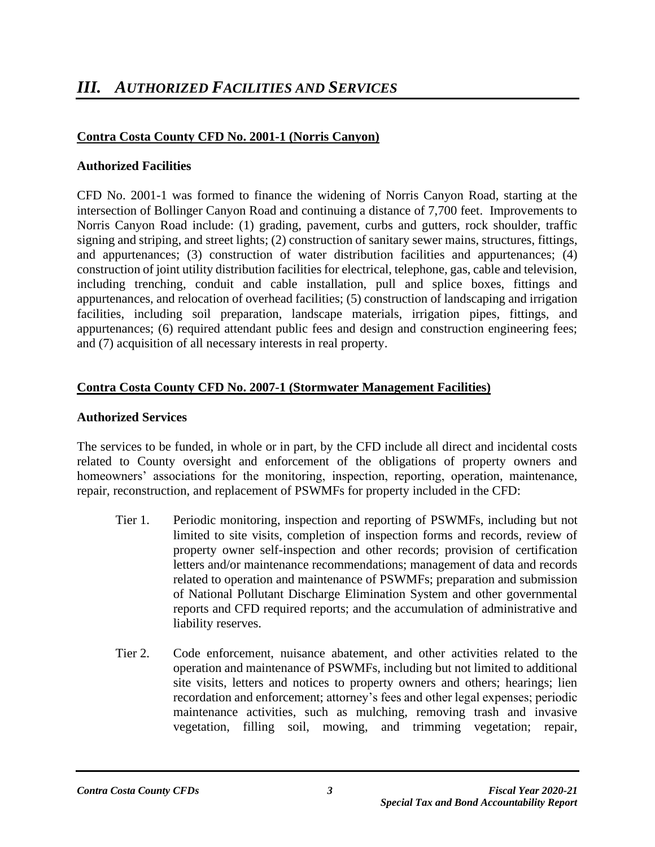## **Contra Costa County CFD No. 2001-1 (Norris Canyon)**

#### **Authorized Facilities**

CFD No. 2001-1 was formed to finance the widening of Norris Canyon Road, starting at the intersection of Bollinger Canyon Road and continuing a distance of 7,700 feet. Improvements to Norris Canyon Road include: (1) grading, pavement, curbs and gutters, rock shoulder, traffic signing and striping, and street lights; (2) construction of sanitary sewer mains, structures, fittings, and appurtenances; (3) construction of water distribution facilities and appurtenances; (4) construction of joint utility distribution facilities for electrical, telephone, gas, cable and television, including trenching, conduit and cable installation, pull and splice boxes, fittings and appurtenances, and relocation of overhead facilities; (5) construction of landscaping and irrigation facilities, including soil preparation, landscape materials, irrigation pipes, fittings, and appurtenances; (6) required attendant public fees and design and construction engineering fees; and (7) acquisition of all necessary interests in real property.

#### **Contra Costa County CFD No. 2007-1 (Stormwater Management Facilities)**

#### **Authorized Services**

The services to be funded, in whole or in part, by the CFD include all direct and incidental costs related to County oversight and enforcement of the obligations of property owners and homeowners' associations for the monitoring, inspection, reporting, operation, maintenance, repair, reconstruction, and replacement of PSWMFs for property included in the CFD:

- Tier 1. Periodic monitoring, inspection and reporting of PSWMFs, including but not limited to site visits, completion of inspection forms and records, review of property owner self-inspection and other records; provision of certification letters and/or maintenance recommendations; management of data and records related to operation and maintenance of PSWMFs; preparation and submission of National Pollutant Discharge Elimination System and other governmental reports and CFD required reports; and the accumulation of administrative and liability reserves.
- Tier 2. Code enforcement, nuisance abatement, and other activities related to the operation and maintenance of PSWMFs, including but not limited to additional site visits, letters and notices to property owners and others; hearings; lien recordation and enforcement; attorney's fees and other legal expenses; periodic maintenance activities, such as mulching, removing trash and invasive vegetation, filling soil, mowing, and trimming vegetation; repair,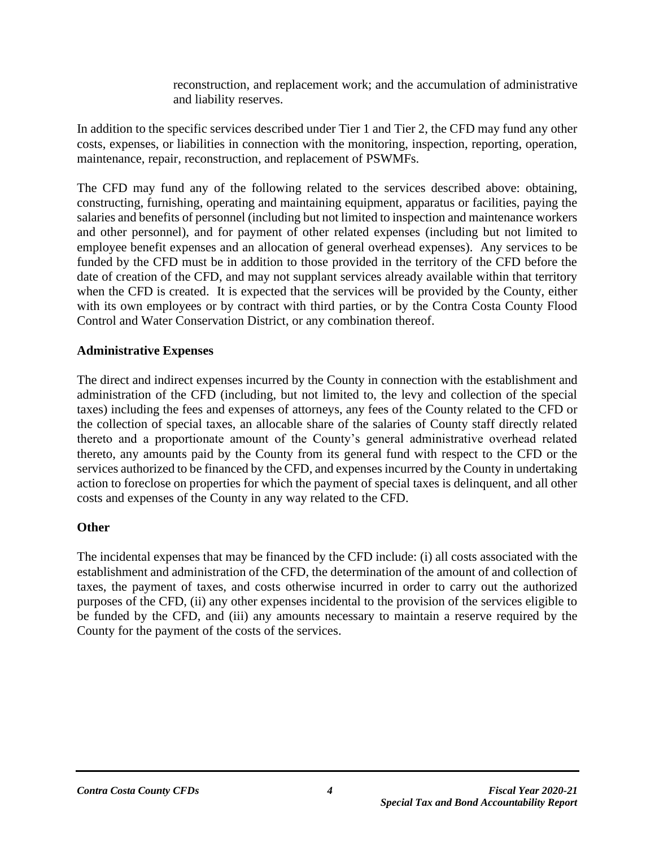reconstruction, and replacement work; and the accumulation of administrative and liability reserves.

In addition to the specific services described under Tier 1 and Tier 2, the CFD may fund any other costs, expenses, or liabilities in connection with the monitoring, inspection, reporting, operation, maintenance, repair, reconstruction, and replacement of PSWMFs.

The CFD may fund any of the following related to the services described above: obtaining, constructing, furnishing, operating and maintaining equipment, apparatus or facilities, paying the salaries and benefits of personnel (including but not limited to inspection and maintenance workers and other personnel), and for payment of other related expenses (including but not limited to employee benefit expenses and an allocation of general overhead expenses). Any services to be funded by the CFD must be in addition to those provided in the territory of the CFD before the date of creation of the CFD, and may not supplant services already available within that territory when the CFD is created. It is expected that the services will be provided by the County, either with its own employees or by contract with third parties, or by the Contra Costa County Flood Control and Water Conservation District, or any combination thereof.

#### **Administrative Expenses**

The direct and indirect expenses incurred by the County in connection with the establishment and administration of the CFD (including, but not limited to, the levy and collection of the special taxes) including the fees and expenses of attorneys, any fees of the County related to the CFD or the collection of special taxes, an allocable share of the salaries of County staff directly related thereto and a proportionate amount of the County's general administrative overhead related thereto, any amounts paid by the County from its general fund with respect to the CFD or the services authorized to be financed by the CFD, and expenses incurred by the County in undertaking action to foreclose on properties for which the payment of special taxes is delinquent, and all other costs and expenses of the County in any way related to the CFD.

#### **Other**

The incidental expenses that may be financed by the CFD include: (i) all costs associated with the establishment and administration of the CFD, the determination of the amount of and collection of taxes, the payment of taxes, and costs otherwise incurred in order to carry out the authorized purposes of the CFD, (ii) any other expenses incidental to the provision of the services eligible to be funded by the CFD, and (iii) any amounts necessary to maintain a reserve required by the County for the payment of the costs of the services.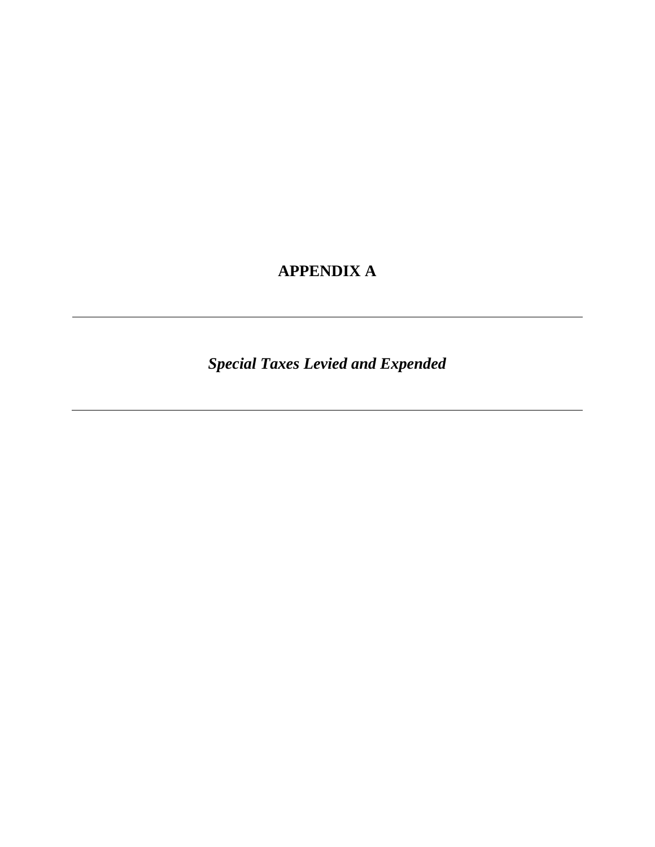# **APPENDIX A**

*Special Taxes Levied and Expended*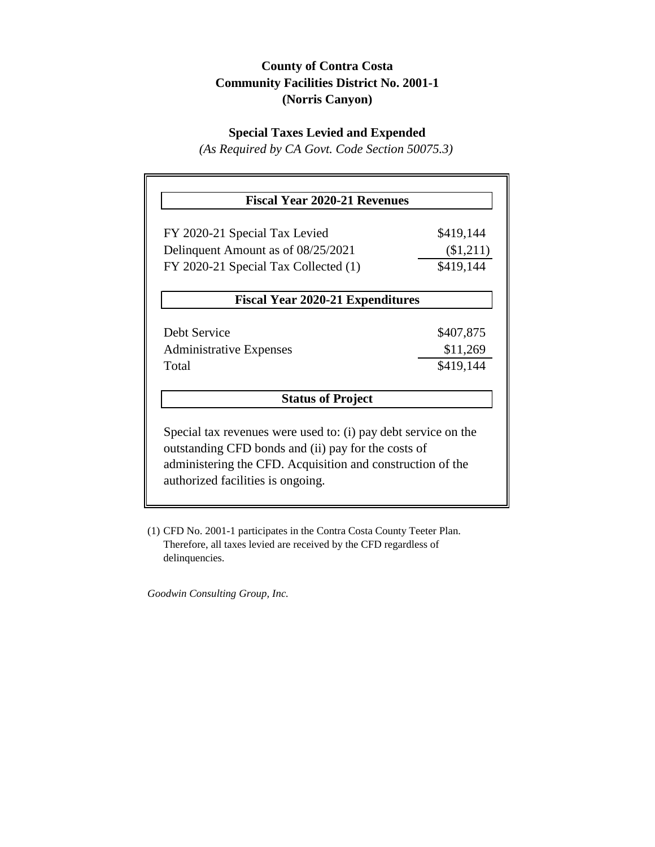## **County of Contra Costa Community Facilities District No. 2001-1 (Norris Canyon)**

## **Special Taxes Levied and Expended**

*(As Required by CA Govt. Code Section 50075.3)*

| <b>Fiscal Year 2020-21 Revenues</b>                                                                                                                                                                                      |           |
|--------------------------------------------------------------------------------------------------------------------------------------------------------------------------------------------------------------------------|-----------|
| FY 2020-21 Special Tax Levied                                                                                                                                                                                            | \$419,144 |
| Delinquent Amount as of 08/25/2021                                                                                                                                                                                       | (\$1,211) |
| FY 2020-21 Special Tax Collected (1)                                                                                                                                                                                     | \$419,144 |
| <b>Fiscal Year 2020-21 Expenditures</b>                                                                                                                                                                                  |           |
| Debt Service                                                                                                                                                                                                             | \$407,875 |
| <b>Administrative Expenses</b>                                                                                                                                                                                           | \$11,269  |
| Total                                                                                                                                                                                                                    | \$419,144 |
| <b>Status of Project</b>                                                                                                                                                                                                 |           |
| Special tax revenues were used to: (i) pay debt service on the<br>outstanding CFD bonds and (ii) pay for the costs of<br>administering the CFD. Acquisition and construction of the<br>authorized facilities is ongoing. |           |

(1) CFD No. 2001-1 participates in the Contra Costa County Teeter Plan. Therefore, all taxes levied are received by the CFD regardless of delinquencies.

*Goodwin Consulting Group, Inc.*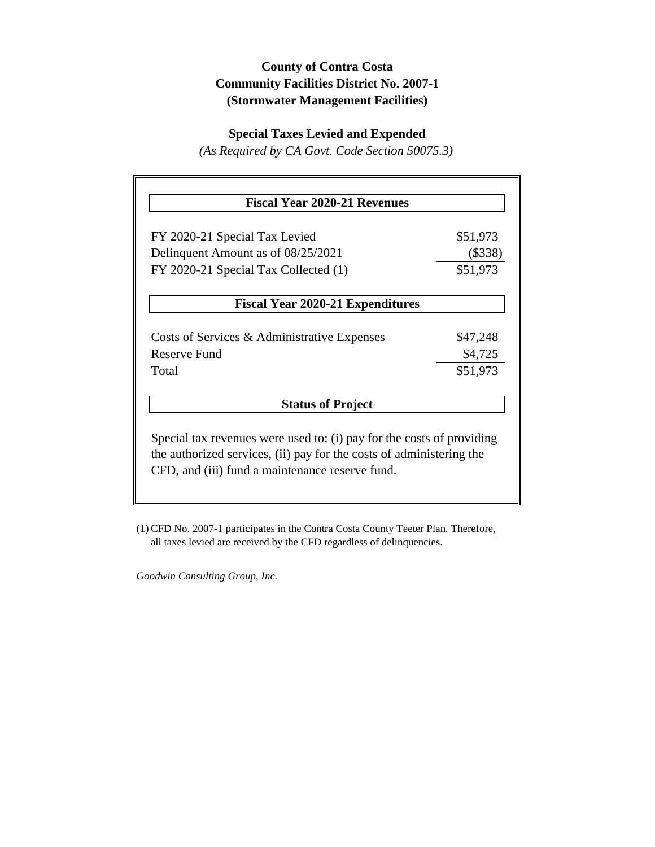## **County of Contra Costa Community Facilities District No. 2007-1 (Stormwater Management Facilities)**

#### **Special Taxes Levied and Expended**

*(As Required by CA Govt. Code Section 50075.3)*

| <b>Fiscal Year 2020-21 Revenues</b>                                   |           |  |  |
|-----------------------------------------------------------------------|-----------|--|--|
| FY 2020-21 Special Tax Levied                                         | \$51,973  |  |  |
| Delinquent Amount as of 08/25/2021                                    | $(\$338)$ |  |  |
| FY 2020-21 Special Tax Collected (1)                                  | \$51,973  |  |  |
| <b>Fiscal Year 2020-21 Expenditures</b>                               |           |  |  |
| Costs of Services & Administrative Expenses                           | \$47,248  |  |  |
| Reserve Fund                                                          | \$4,725   |  |  |
| Total                                                                 | \$51,973  |  |  |
| <b>Status of Project</b>                                              |           |  |  |
| Special tax revenues were used to: (i) pay for the costs of providing |           |  |  |
| the authorized services, (ii) pay for the costs of administering the  |           |  |  |
| CFD, and (iii) fund a maintenance reserve fund.                       |           |  |  |
|                                                                       |           |  |  |

(1) CFD No. 2007-1 participates in the Contra Costa County Teeter Plan. Therefore, all taxes levied are received by the CFD regardless of delinquencies.

*Goodwin Consulting Group, Inc.*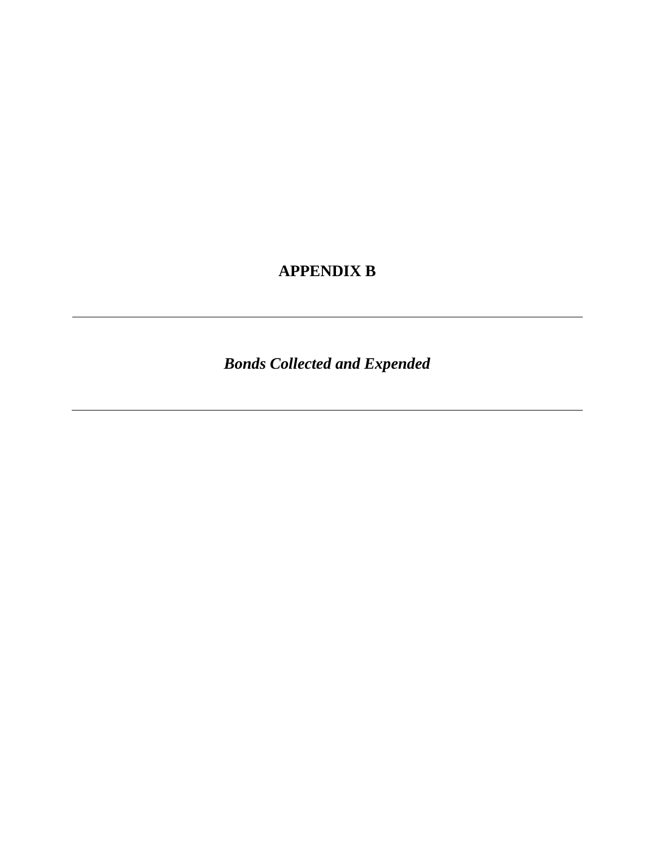# **APPENDIX B**

*Bonds Collected and Expended*